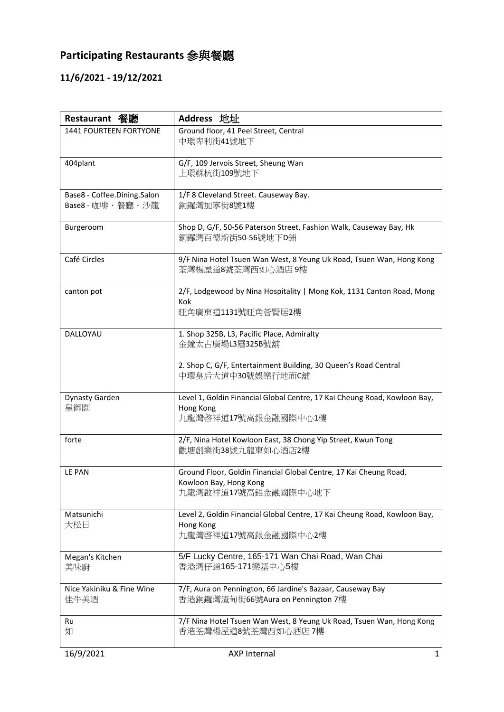## **Participating Restaurants** 參與餐廳

## **11/6/2021 - 19/12/2021**

| Restaurant 餐廳                                       | Address 地址                                                                                                                                            |
|-----------------------------------------------------|-------------------------------------------------------------------------------------------------------------------------------------------------------|
| 1441 FOURTEEN FORTYONE                              | Ground floor, 41 Peel Street, Central<br>中環卑利街41號地下                                                                                                   |
| 404plant                                            | G/F, 109 Jervois Street, Sheung Wan<br>上環蘇杭街109號地下                                                                                                    |
| Base8 - Coffee.Dining.Salon<br>Base8 - 咖啡 · 餐廳 · 沙龍 | 1/F 8 Cleveland Street. Causeway Bay.<br>銅鑼灣加寧街8號1樓                                                                                                   |
| Burgeroom                                           | Shop D, G/F, 50-56 Paterson Street, Fashion Walk, Causeway Bay, Hk<br>銅鑼灣百德新街50-56號地下D鋪                                                               |
| Café Circles                                        | 9/F Nina Hotel Tsuen Wan West, 8 Yeung Uk Road, Tsuen Wan, Hong Kong<br>荃灣楊屋道8號荃灣西如心酒店9樓                                                              |
| canton pot                                          | 2/F, Lodgewood by Nina Hospitality   Mong Kok, 1131 Canton Road, Mong<br><b>Kok</b><br>旺角廣東道1131號旺角薈賢居2樓                                              |
| DALLOYAU                                            | 1. Shop 325B, L3, Pacific Place, Admiralty<br>金鐘太古廣場L3層325B號舖<br>2. Shop C, G/F, Entertainment Building, 30 Queen's Road Central<br>中環皇后大道中30號娛樂行地面C舖 |
| Dynasty Garden<br>皇御園                               | Level 1, Goldin Financial Global Centre, 17 Kai Cheung Road, Kowloon Bay,<br>Hong Kong<br>九龍灣啓祥道17號高銀金融國際中心1樓                                         |
| forte                                               | 2/F, Nina Hotel Kowloon East, 38 Chong Yip Street, Kwun Tong<br>觀塘創業街38號九龍東如心酒店2樓                                                                     |
| LE PAN                                              | Ground Floor, Goldin Financial Global Centre, 17 Kai Cheung Road,<br>Kowloon Bay, Hong Kong<br>九龍灣啟祥道17號高銀金融國際中心地下                                    |
| Matsunichi<br>大松日                                   | Level 2, Goldin Financial Global Centre, 17 Kai Cheung Road, Kowloon Bay,<br>Hong Kong<br>九龍灣啓祥道17號高銀金融國際中心2樓                                         |
| Megan's Kitchen<br>美味廚                              | 5/F Lucky Centre, 165-171 Wan Chai Road, Wan Chai<br>香港灣仔道165-171樂基中心5樓                                                                               |
| Nice Yakiniku & Fine Wine<br>佳牛美酒                   | 7/F, Aura on Pennington, 66 Jardine's Bazaar, Causeway Bay<br>香港銅鑼灣渣甸街66號Aura on Pennington 7樓                                                        |
| Ru<br>如                                             | 7/F Nina Hotel Tsuen Wan West, 8 Yeung Uk Road, Tsuen Wan, Hong Kong<br>香港荃灣楊屋道8號荃灣西如心酒店7樓                                                            |
| 16/9/2021                                           | AXP Internal<br>1                                                                                                                                     |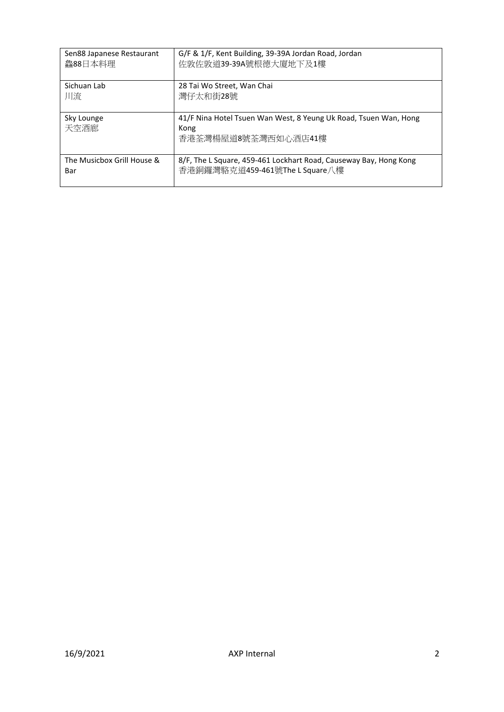| Sen88 Japanese Restaurant  | G/F & 1/F, Kent Building, 39-39A Jordan Road, Jordan                                            |
|----------------------------|-------------------------------------------------------------------------------------------------|
| 鱻88日本料理                    | 佐敦佐敦道39-39A號根德大廈地下及1樓                                                                           |
| Sichuan Lab                | 28 Tai Wo Street, Wan Chai                                                                      |
| 川流                         | 灣仔太和街28號                                                                                        |
| Sky Lounge<br>天空酒廊         | 41/F Nina Hotel Tsuen Wan West, 8 Yeung Uk Road, Tsuen Wan, Hong<br>Kong<br>香港荃灣楊屋道8號荃灣西如心酒店41樓 |
| The Musicbox Grill House & | 8/F, The L Square, 459-461 Lockhart Road, Causeway Bay, Hong Kong                               |
| Bar                        | 香港銅鑼灣駱克道459-461號The L Square八樓                                                                  |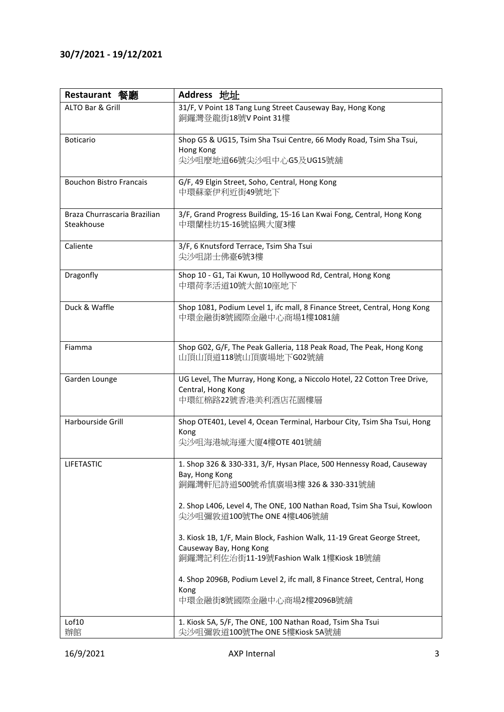## **30/7/2021 - 19/12/2021**

| Restaurant 餐廳                              | Address 地址                                                                                                                                   |
|--------------------------------------------|----------------------------------------------------------------------------------------------------------------------------------------------|
| ALTO Bar & Grill                           | 31/F, V Point 18 Tang Lung Street Causeway Bay, Hong Kong<br>銅鑼灣登龍街18號V Point 31樓                                                            |
| <b>Boticario</b>                           | Shop G5 & UG15, Tsim Sha Tsui Centre, 66 Mody Road, Tsim Sha Tsui,<br>Hong Kong<br>尖沙咀麼地道66號尖沙咀中心G5及UG15號舖                                   |
| <b>Bouchon Bistro Francais</b>             | G/F, 49 Elgin Street, Soho, Central, Hong Kong<br>中環蘇豪伊利近街49號地下                                                                              |
| Braza Churrascaria Brazilian<br>Steakhouse | 3/F, Grand Progress Building, 15-16 Lan Kwai Fong, Central, Hong Kong<br>中環蘭桂坊15-16號協興大廈3樓                                                   |
| Caliente                                   | 3/F, 6 Knutsford Terrace, Tsim Sha Tsui<br>尖沙咀諾士佛臺6號3樓                                                                                       |
| Dragonfly                                  | Shop 10 - G1, Tai Kwun, 10 Hollywood Rd, Central, Hong Kong<br>中環荷李活道10號大館10座地下                                                              |
| Duck & Waffle                              | Shop 1081, Podium Level 1, ifc mall, 8 Finance Street, Central, Hong Kong<br>中環金融街8號國際金融中心商場1樓1081舖                                          |
| Fiamma                                     | Shop G02, G/F, The Peak Galleria, 118 Peak Road, The Peak, Hong Kong<br>山頂山頂道118號山頂廣場地下G02號舖                                                 |
| Garden Lounge                              | UG Level, The Murray, Hong Kong, a Niccolo Hotel, 22 Cotton Tree Drive,<br>Central, Hong Kong<br>中環紅棉路22號香港美利酒店花園樓層                          |
| Harbourside Grill                          | Shop OTE401, Level 4, Ocean Terminal, Harbour City, Tsim Sha Tsui, Hong<br>Kong<br>尖沙咀海港城海運大廈4樓OTE 401號舖                                     |
| <b>LIFETASTIC</b>                          | 1. Shop 326 & 330-331, 3/F, Hysan Place, 500 Hennessy Road, Causeway<br>Bay, Hong Kong<br>銅鑼灣軒尼詩道500號希慎廣場3樓 326 & 330-331號舖                  |
|                                            | 2. Shop L406, Level 4, The ONE, 100 Nathan Road, Tsim Sha Tsui, Kowloon<br>尖沙咀彌敦道100號The ONE 4樓L406號舖                                        |
|                                            | 3. Kiosk 1B, 1/F, Main Block, Fashion Walk, 11-19 Great George Street,<br>Causeway Bay, Hong Kong<br>銅鑼灣記利佐治街11-19號Fashion Walk 1樓Kiosk 1B號舖 |
|                                            | 4. Shop 2096B, Podium Level 2, ifc mall, 8 Finance Street, Central, Hong                                                                     |
|                                            | Kong<br>中環金融街8號國際金融中心商場2樓2096B號舖                                                                                                             |
| Lof10<br>辦館                                | 1. Kiosk 5A, 5/F, The ONE, 100 Nathan Road, Tsim Sha Tsui<br>尖沙咀彌敦道100號The ONE 5樓Kiosk 5A號舖                                                  |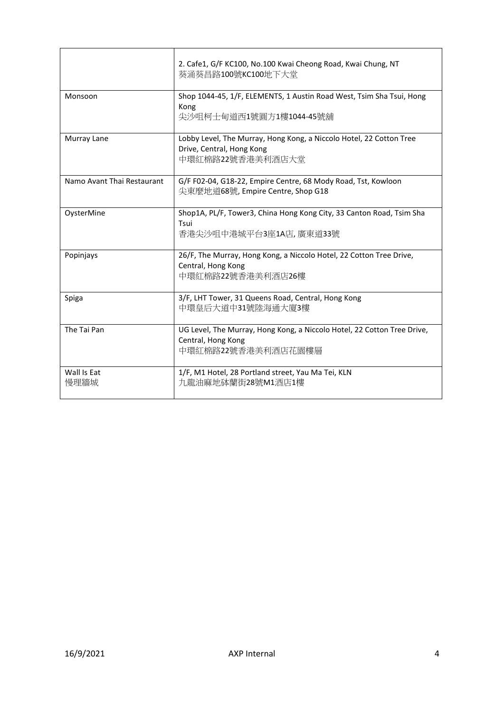|                            | 2. Cafe1, G/F KC100, No.100 Kwai Cheong Road, Kwai Chung, NT<br>葵涌葵昌路100號KC100地下大堂                                   |
|----------------------------|----------------------------------------------------------------------------------------------------------------------|
| Monsoon                    | Shop 1044-45, 1/F, ELEMENTS, 1 Austin Road West, Tsim Sha Tsui, Hong<br>Kong<br>尖沙咀柯士甸道西1號圓方1樓1044-45號舖              |
| Murray Lane                | Lobby Level, The Murray, Hong Kong, a Niccolo Hotel, 22 Cotton Tree<br>Drive, Central, Hong Kong<br>中環紅棉路22號香港美利酒店大堂 |
| Namo Avant Thai Restaurant | G/F F02-04, G18-22, Empire Centre, 68 Mody Road, Tst, Kowloon<br>尖東麼地道68號, Empire Centre, Shop G18                   |
| OysterMine                 | Shop1A, PL/F, Tower3, China Hong Kong City, 33 Canton Road, Tsim Sha<br>Tsui<br>香港尖沙咀中港城平台3座1A店, 廣東道33號              |
| Popinjays                  | 26/F, The Murray, Hong Kong, a Niccolo Hotel, 22 Cotton Tree Drive,<br>Central, Hong Kong<br>中環紅棉路22號香港美利酒店26樓       |
| Spiga                      | 3/F, LHT Tower, 31 Queens Road, Central, Hong Kong<br>中環皇后大道中31號陸海通大廈3樓                                              |
| The Tai Pan                | UG Level, The Murray, Hong Kong, a Niccolo Hotel, 22 Cotton Tree Drive,<br>Central, Hong Kong<br>中環紅棉路22號香港美利酒店花園樓層  |
| Wall Is Eat<br>慢理牆城        | 1/F, M1 Hotel, 28 Portland street, Yau Ma Tei, KLN<br>力龍油麻地砵蘭街28號M1酒店1樓                                              |